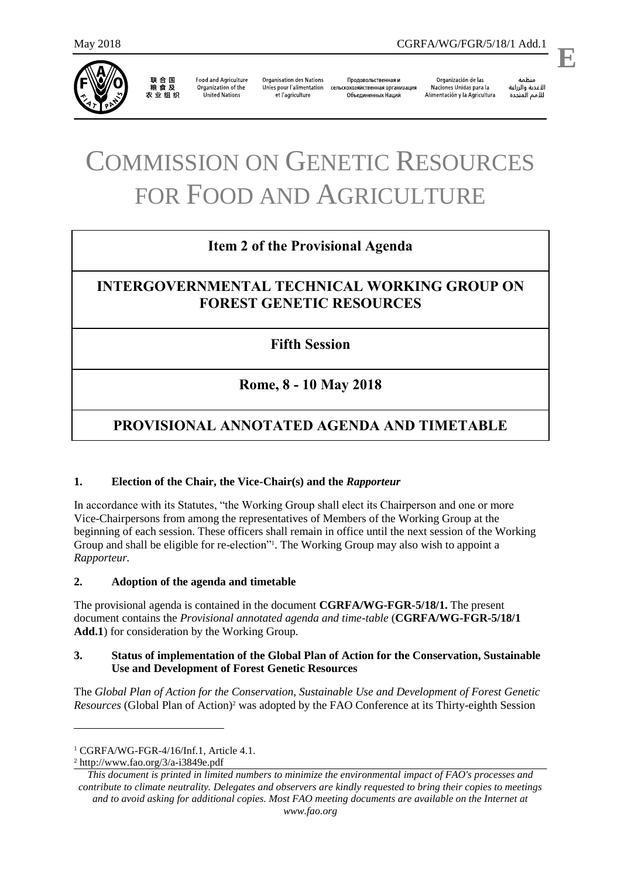

联合国 粮食及 农业组织

**Food and Agriculture** Organization of the **United Nations** 

**Organisation des Nations** Unies pour l'alimentation et l'agriculture

Продовольственная и сельскохозяйственная организация Объединенных Наций

Organización de las Naciones Unidas para la Alimentación y la Agricultura

منظمة الأغذية والزراعة للأمم المتحدة

.

# COMMISSION ON GENETIC RESOURCES FOR FOOD AND AGRICULTURE

# **Item 2 of the Provisional Agenda**

# **INTERGOVERNMENTAL TECHNICAL WORKING GROUP ON FOREST GENETIC RESOURCES**

# **Fifth Session**

# **Rome, 8 - 10 May 2018**

# **PROVISIONAL ANNOTATED AGENDA AND TIMETABLE**

# **1. Election of the Chair, the Vice-Chair(s) and the** *Rapporteur*

In accordance with its Statutes, "the Working Group shall elect its Chairperson and one or more Vice-Chairpersons from among the representatives of Members of the Working Group at the beginning of each session. These officers shall remain in office until the next session of the Working Group and shall be eligible for re-election"<sup>1</sup>. The Working Group may also wish to appoint a *Rapporteur.*

# **2. Adoption of the agenda and timetable**

The provisional agenda is contained in the document **CGRFA/WG-FGR-5/18/1.** The present document contains the *Provisional annotated agenda and time-table* (**CGRFA/WG-FGR-5/18/1 Add.1**) for consideration by the Working Group.

## **3. Status of implementation of the Global Plan of Action for the Conservation, Sustainable Use and Development of Forest Genetic Resources**

The *Global Plan of Action for the Conservation, Sustainable Use and Development of Forest Genetic Resources* (Global Plan of Action)<sup>2</sup> was adopted by the FAO Conference at its Thirty-eighth Session

l

<sup>1</sup> CGRFA/WG-FGR-4/16/Inf.1, Article 4.1.

<sup>2</sup> <http://www.fao.org/3/a-i3849e.pdf>

*This document is printed in limited numbers to minimize the environmental impact of FAO's processes and contribute to climate neutrality. Delegates and observers are kindly requested to bring their copies to meetings and to avoid asking for additional copies. Most FAO meeting documents are available on the Internet at*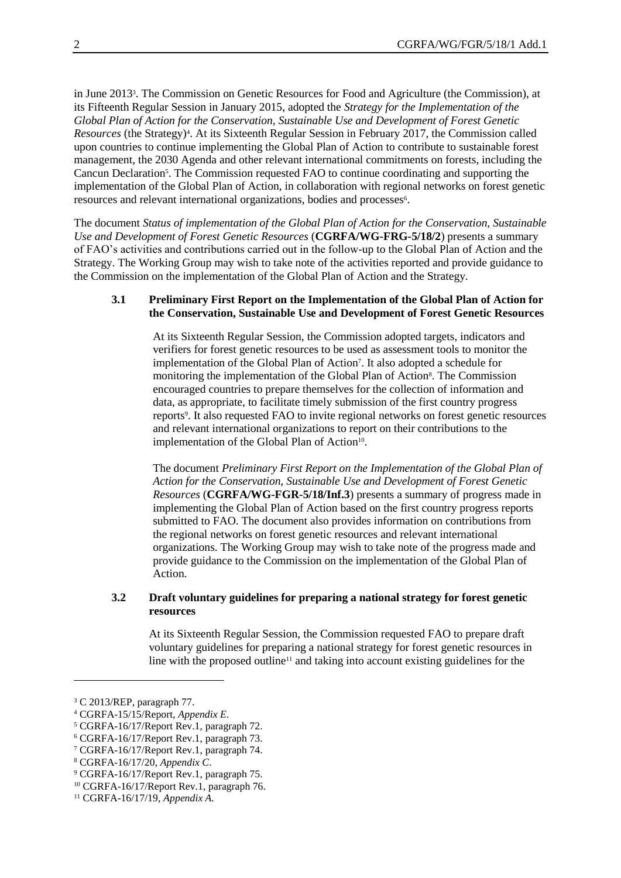in June 2013<sup>3</sup> . The Commission on Genetic Resources for Food and Agriculture (the Commission), at its Fifteenth Regular Session in January 2015, adopted the *Strategy for the Implementation of the Global Plan of Action for the Conservation, Sustainable Use and Development of Forest Genetic*  Resources (the Strategy)<sup>4</sup>. At its Sixteenth Regular Session in February 2017, the Commission called upon countries to continue implementing the Global Plan of Action to contribute to sustainable forest management, the 2030 Agenda and other relevant international commitments on forests, including the Cancun Declaration<sup>5</sup>. The Commission requested FAO to continue coordinating and supporting the implementation of the Global Plan of Action, in collaboration with regional networks on forest genetic resources and relevant international organizations, bodies and processes<sup>6</sup>.

The document *Status of implementation of the Global Plan of Action for the Conservation, Sustainable Use and Development of Forest Genetic Resources* (**CGRFA/WG-FRG-5/18/2**) presents a summary of FAO's activities and contributions carried out in the follow-up to the Global Plan of Action and the Strategy. The Working Group may wish to take note of the activities reported and provide guidance to the Commission on the implementation of the Global Plan of Action and the Strategy.

#### **3.1 Preliminary First Report on the Implementation of the Global Plan of Action for the Conservation, Sustainable Use and Development of Forest Genetic Resources**

At its Sixteenth Regular Session, the Commission adopted targets, indicators and verifiers for forest genetic resources to be used as assessment tools to monitor the implementation of the Global Plan of Action<sup>7</sup> . It also adopted a schedule for monitoring the implementation of the Global Plan of Action<sup>8</sup>. The Commission encouraged countries to prepare themselves for the collection of information and data, as appropriate, to facilitate timely submission of the first country progress reports<sup>9</sup>. It also requested FAO to invite regional networks on forest genetic resources and relevant international organizations to report on their contributions to the implementation of the Global Plan of Action<sup>10</sup>.

The document *Preliminary First Report on the Implementation of the Global Plan of Action for the Conservation, Sustainable Use and Development of Forest Genetic Resources* (**CGRFA/WG-FGR-5/18/Inf.3**) presents a summary of progress made in implementing the Global Plan of Action based on the first country progress reports submitted to FAO. The document also provides information on contributions from the regional networks on forest genetic resources and relevant international organizations. The Working Group may wish to take note of the progress made and provide guidance to the Commission on the implementation of the Global Plan of Action.

#### **3.2 Draft voluntary guidelines for preparing a national strategy for forest genetic resources**

At its Sixteenth Regular Session, the Commission requested FAO to prepare draft voluntary guidelines for preparing a national strategy for forest genetic resources in line with the proposed outline<sup>11</sup> and taking into account existing guidelines for the

l

<sup>3</sup> C 2013/REP, paragraph 77.

<sup>4</sup> CGRFA-15/15/Report, *Appendix E*.

<sup>5</sup> CGRFA-16/17/Report Rev.1, paragraph 72.

<sup>6</sup> CGRFA-16/17/Report Rev.1, paragraph 73.

<sup>7</sup> CGRFA-16/17/Report Rev.1, paragraph 74.

<sup>8</sup> CGRFA-16/17/20, *Appendix C*.

<sup>9</sup> CGRFA-16/17/Report Rev.1, paragraph 75.

<sup>10</sup> CGRFA-16/17/Report Rev.1, paragraph 76.

<sup>11</sup> CGRFA-16/17/19, *Appendix A.*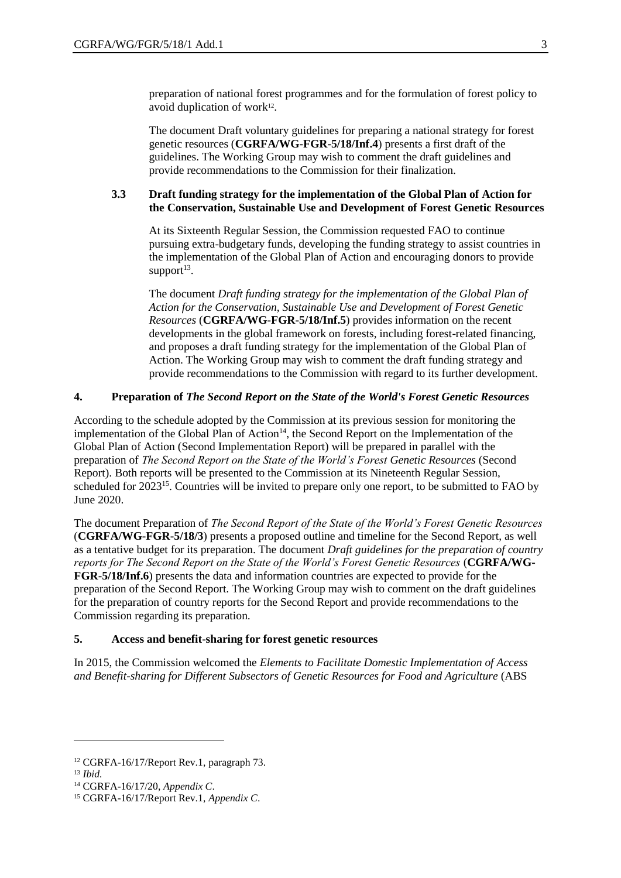preparation of national forest programmes and for the formulation of forest policy to avoid duplication of work<sup>12</sup>.

The document Draft voluntary guidelines for preparing a national strategy for forest genetic resources (**CGRFA/WG-FGR-5/18/Inf.4**) presents a first draft of the guidelines. The Working Group may wish to comment the draft guidelines and provide recommendations to the Commission for their finalization.

## **3.3 Draft funding strategy for the implementation of the Global Plan of Action for the Conservation, Sustainable Use and Development of Forest Genetic Resources**

At its Sixteenth Regular Session, the Commission requested FAO to continue pursuing extra-budgetary funds, developing the funding strategy to assist countries in the implementation of the Global Plan of Action and encouraging donors to provide  $support<sup>13</sup>$ .

The document *Draft funding strategy for the implementation of the Global Plan of Action for the Conservation, Sustainable Use and Development of Forest Genetic Resources* (**CGRFA/WG-FGR-5/18/Inf.5**) provides information on the recent developments in the global framework on forests, including forest-related financing, and proposes a draft funding strategy for the implementation of the Global Plan of Action. The Working Group may wish to comment the draft funding strategy and provide recommendations to the Commission with regard to its further development.

# **4. Preparation of** *The Second Report on the State of the World's Forest Genetic Resources*

According to the schedule adopted by the Commission at its previous session for monitoring the implementation of the Global Plan of Action $14$ , the Second Report on the Implementation of the Global Plan of Action (Second Implementation Report) will be prepared in parallel with the preparation of *The Second Report on the State of the World's Forest Genetic Resources* (Second Report). Both reports will be presented to the Commission at its Nineteenth Regular Session, scheduled for 2023<sup>15</sup>. Countries will be invited to prepare only one report, to be submitted to FAO by June 2020.

The document Preparation of *The Second Report of the State of the World's Forest Genetic Resources* (**CGRFA/WG-FGR-5/18/3**) presents a proposed outline and timeline for the Second Report, as well as a tentative budget for its preparation. The document *Draft guidelines for the preparation of country reports for The Second Report on the State of the World's Forest Genetic Resources* (**CGRFA/WG-FGR-5/18/Inf.6**) presents the data and information countries are expected to provide for the preparation of the Second Report. The Working Group may wish to comment on the draft guidelines for the preparation of country reports for the Second Report and provide recommendations to the Commission regarding its preparation.

#### **5. Access and benefit-sharing for forest genetic resources**

In 2015, the Commission welcomed the *Elements to Facilitate Domestic Implementation of Access and Benefit-sharing for Different Subsectors of Genetic Resources for Food and Agriculture* (ABS

 $\overline{a}$ 

<sup>&</sup>lt;sup>12</sup> CGRFA-16/17/Report Rev.1, paragraph 73.

<sup>13</sup> *Ibid.*

<sup>14</sup> CGRFA-16/17/20, *Appendix C*.

<sup>15</sup> CGRFA-16/17/Report Rev.1, *Appendix C*.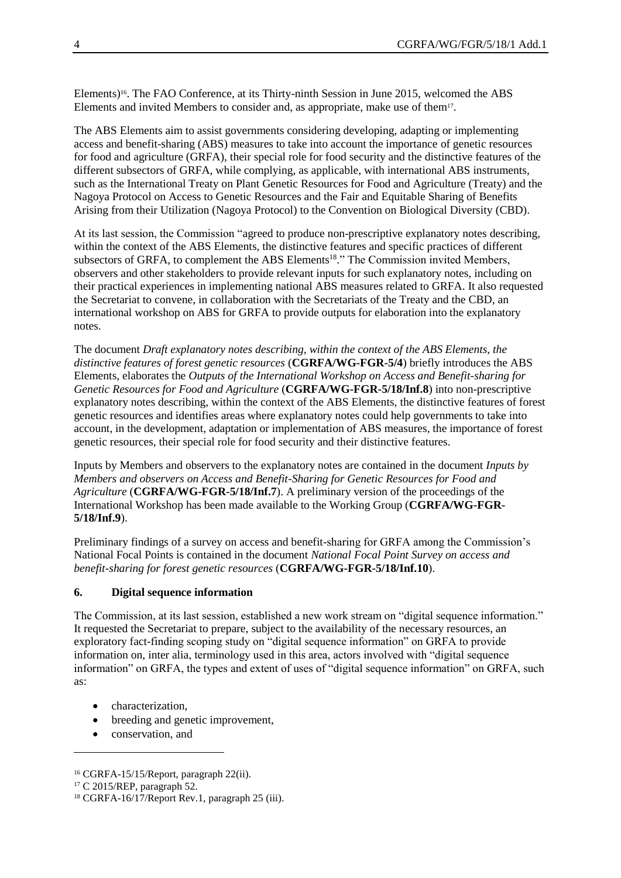Elements)<sup>16</sup>. The FAO Conference, at its Thirty-ninth Session in June 2015, welcomed the ABS Elements and invited Members to consider and, as appropriate, make use of them<sup>17</sup>.

The ABS Elements aim to assist governments considering developing, adapting or implementing access and benefit-sharing (ABS) measures to take into account the importance of genetic resources for food and agriculture (GRFA), their special role for food security and the distinctive features of the different subsectors of GRFA, while complying, as applicable, with international ABS instruments, such as the International Treaty on Plant Genetic Resources for Food and Agriculture (Treaty) and the Nagoya Protocol on Access to Genetic Resources and the Fair and Equitable Sharing of Benefits Arising from their Utilization (Nagoya Protocol) to the Convention on Biological Diversity (CBD).

At its last session, the Commission "agreed to produce non-prescriptive explanatory notes describing, within the context of the ABS Elements, the distinctive features and specific practices of different subsectors of GRFA, to complement the ABS Elements<sup>18</sup>." The Commission invited Members, observers and other stakeholders to provide relevant inputs for such explanatory notes, including on their practical experiences in implementing national ABS measures related to GRFA. It also requested the Secretariat to convene, in collaboration with the Secretariats of the Treaty and the CBD, an international workshop on ABS for GRFA to provide outputs for elaboration into the explanatory notes.

The document *Draft explanatory notes describing, within the context of the ABS Elements, the distinctive features of forest genetic resources* (**CGRFA/WG-FGR-5/4**) briefly introduces the ABS Elements, elaborates the *Outputs of the International Workshop on Access and Benefit-sharing for Genetic Resources for Food and Agriculture* (**CGRFA/WG-FGR-5/18/Inf.8**) into non-prescriptive explanatory notes describing, within the context of the ABS Elements, the distinctive features of forest genetic resources and identifies areas where explanatory notes could help governments to take into account, in the development, adaptation or implementation of ABS measures, the importance of forest genetic resources, their special role for food security and their distinctive features.

Inputs by Members and observers to the explanatory notes are contained in the document *Inputs by Members and observers on Access and Benefit-Sharing for Genetic Resources for Food and Agriculture* (**CGRFA/WG-FGR-5/18/Inf.7**). A preliminary version of the proceedings of the International Workshop has been made available to the Working Group (**CGRFA/WG-FGR-5/18/Inf.9**).

Preliminary findings of a survey on access and benefit-sharing for GRFA among the Commission's National Focal Points is contained in the document *National Focal Point Survey on access and benefit-sharing for forest genetic resources* (**CGRFA/WG-FGR-5/18/Inf.10**).

#### **6. Digital sequence information**

The Commission, at its last session, established a new work stream on "digital sequence information." It requested the Secretariat to prepare, subject to the availability of the necessary resources, an exploratory fact-finding scoping study on "digital sequence information" on GRFA to provide information on, inter alia, terminology used in this area, actors involved with "digital sequence information" on GRFA, the types and extent of uses of "digital sequence information" on GRFA, such as:

- characterization,
- breeding and genetic improvement,
- conservation, and

l

<sup>16</sup> CGRFA-15/15/Report, paragraph 22(ii).

<sup>17</sup> C 2015/REP, paragraph 52.

<sup>18</sup> CGRFA-16/17/Report Rev.1, paragraph 25 (iii).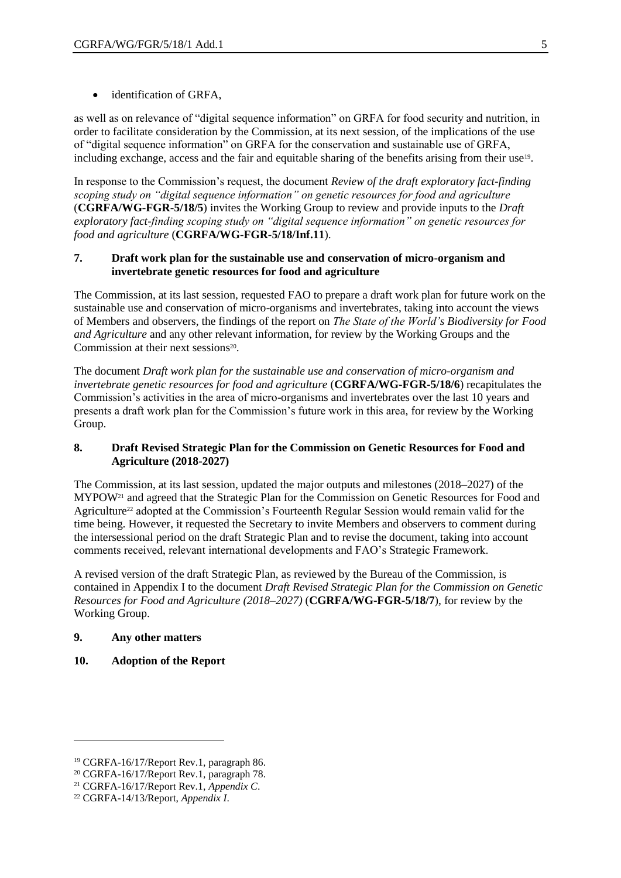• identification of GRFA,

as well as on relevance of "digital sequence information" on GRFA for food security and nutrition, in order to facilitate consideration by the Commission, at its next session, of the implications of the use of "digital sequence information" on GRFA for the conservation and sustainable use of GRFA, including exchange, access and the fair and equitable sharing of the benefits arising from their use<sup>19</sup>.

In response to the Commission's request, the document *Review of the draft exploratory fact-finding scoping study on "digital sequence information" on genetic resources for food and agriculture* (**CGRFA/WG-FGR-5/18/5**) invites the Working Group to review and provide inputs to the *Draft exploratory fact-finding scoping study on "digital sequence information" on genetic resources for food and agriculture* (**CGRFA/WG-FGR-5/18/Inf.11**).

#### **7. Draft work plan for the sustainable use and conservation of micro-organism and invertebrate genetic resources for food and agriculture**

The Commission, at its last session, requested FAO to prepare a draft work plan for future work on the sustainable use and conservation of micro-organisms and invertebrates, taking into account the views of Members and observers, the findings of the report on *The State of the World's Biodiversity for Food and Agriculture* and any other relevant information, for review by the Working Groups and the Commission at their next sessions<sup>20</sup>.

The document *Draft work plan for the sustainable use and conservation of micro-organism and invertebrate genetic resources for food and agriculture* (**CGRFA/WG-FGR-5/18/6**) recapitulates the Commission's activities in the area of micro-organisms and invertebrates over the last 10 years and presents a draft work plan for the Commission's future work in this area, for review by the Working Group.

## **8. Draft Revised Strategic Plan for the Commission on Genetic Resources for Food and Agriculture (2018-2027)**

The Commission, at its last session, updated the major outputs and milestones (2018–2027) of the MYPOW<sup>21</sup> and agreed that the Strategic Plan for the Commission on Genetic Resources for Food and Agriculture<sup>22</sup> adopted at the Commission's Fourteenth Regular Session would remain valid for the time being. However, it requested the Secretary to invite Members and observers to comment during the intersessional period on the draft Strategic Plan and to revise the document, taking into account comments received, relevant international developments and FAO's Strategic Framework.

A revised version of the draft Strategic Plan, as reviewed by the Bureau of the Commission, is contained in Appendix I to the document *Draft Revised Strategic Plan for the Commission on Genetic Resources for Food and Agriculture (2018–2027)* (**CGRFA/WG-FGR-5/18/7**), for review by the Working Group.

# **9. Any other matters**

 $\overline{a}$ 

# **10. Adoption of the Report**

<sup>19</sup> CGRFA-16/17/Report Rev.1, paragraph 86.

<sup>20</sup> CGRFA-16/17/Report Rev.1, paragraph 78.

<sup>21</sup> CGRFA-16/17/Report Rev.1, *Appendix C*.

<sup>22</sup> CGRFA-14/13/Report, *Appendix I*.